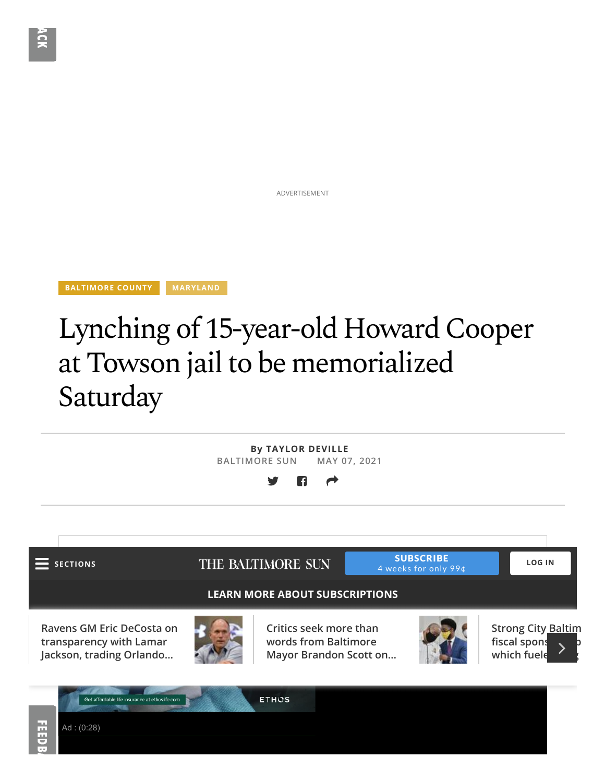ADVERTISEMENT

**BALTIMORE COUNTY MARYLAND** 

Ad : (0:28)

## Lynching of 15-year-old Howard Cooper at Towson jail to be memorialized Saturday

**By TAYLOR DEVILLE BALTIMORE SUN MAY 07, 2021** -c SECTIONS THE BALTIMORE SUN SUBSCRIBE 4 weeks for only 99¢ **LOG INLEARN MORE ABOUT SUBSCRIPTIONS Ravens GM Eric DeCosta on Critics seek more than Strong City Baltim words from Baltimore** fiscal spons **transparency with Lamar Jackson, trading Orlando… Mayor Brandon Scott on… which fuele** Get affordable life insurance at ethoslife.com **ETHOS** Ë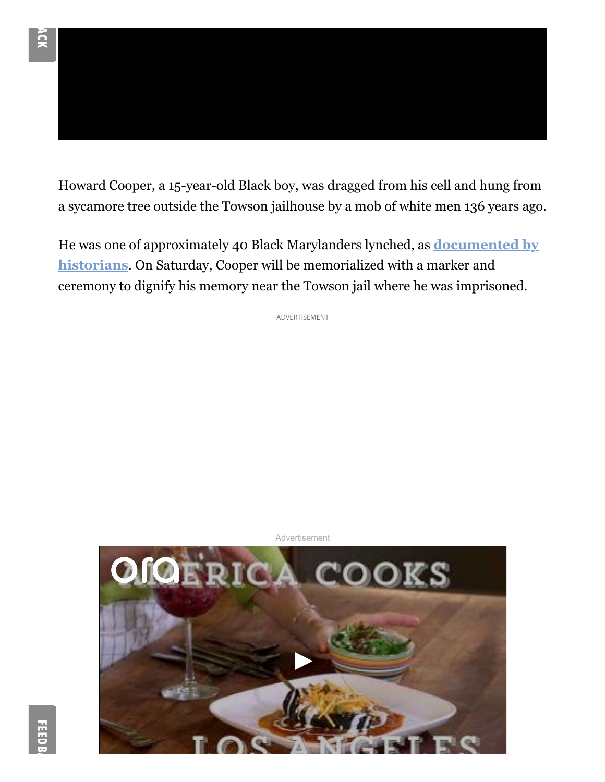Howard Cooper, a 15-year-old Black boy, was dragged from his cell and hung from a sycamore tree outside the Towson jailhouse by a mob of white men 136 years ago.

He was one of approximately 40 Black Marylanders lynched, as **documented by historians**. On Saturday, Cooper will be memorialized with a marker and ceremony to dignify his memory near the Towson jail where he was imprisoned.

ADVERTISEMENT



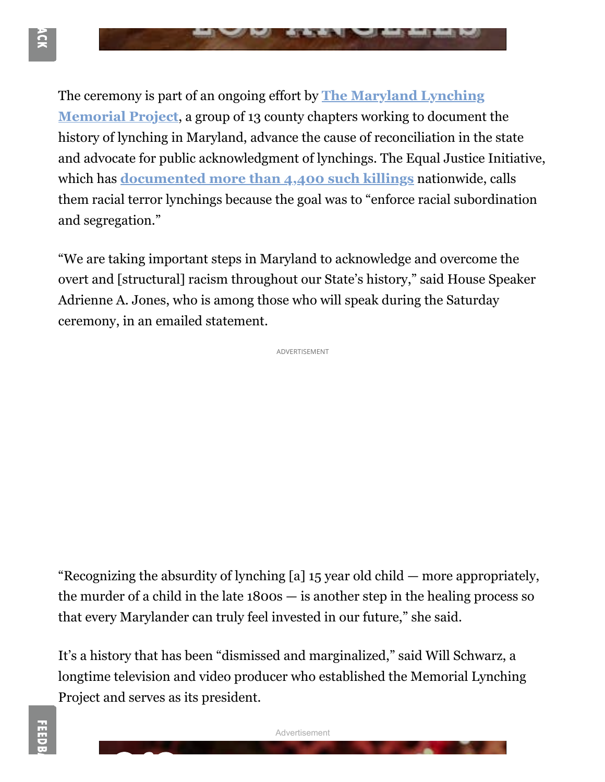

The ceremony is part of an ongoing effort by **The Maryland Lynching Memorial Project**, a group of 13 county chapters working to document the history of lynching in Maryland, advance the cause of reconciliation in the state and advocate for public acknowledgment of lynchings. The Equal Justice Initiative, which has **documented more than 4,400 such killings** nationwide, calls them racial terror lynchings because the goal was to "enforce racial subordination and segregation."

"We are taking important steps in Maryland to acknowledge and overcome the overt and [structural] racism throughout our State's history," said House Speaker Adrienne A. Jones, who is among those who will speak during the Saturday ceremony, in an emailed statement.

ADVERTISEMENT

"Recognizing the absurdity of lynching [a] 15 year old child — more appropriately, the murder of a child in the late 1800s — is another step in the healing process so that every Marylander can truly feel invested in our future," she said.

It's a history that has been "dismissed and marginalized," said Will Schwarz, a longtime television and video producer who established the Memorial Lynching Project and serves as its president.

Advertisement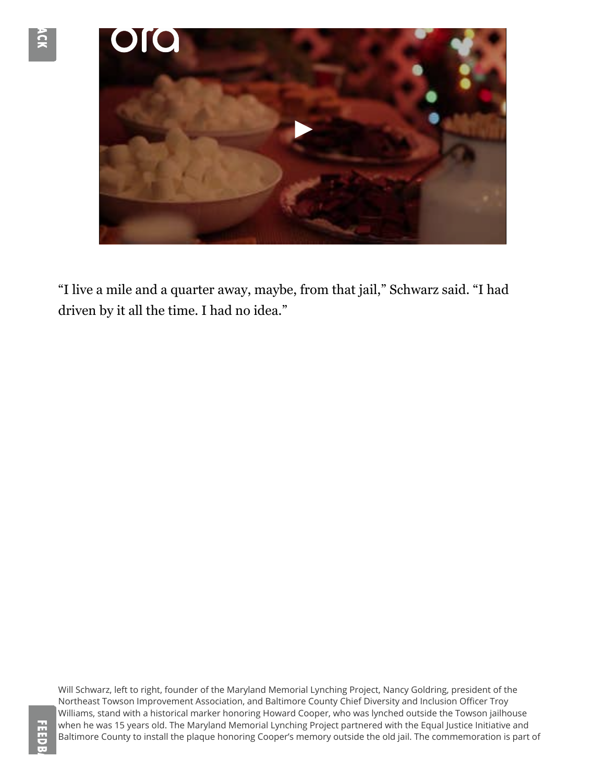

"I live a mile and a quarter away, maybe, from that jail," Schwarz said. "I had driven by it all the time. I had no idea."

Will Schwarz, left to right, founder of the Maryland Memorial Lynching Project, Nancy Goldring, president of the Northeast Towson Improvement Association, and Baltimore County Chief Diversity and Inclusion Officer Troy Williams, stand with a historical marker honoring Howard Cooper, who was lynched outside the Towson jailhouse when he was 15 years old. The Maryland Memorial Lynching Project partnered with the Equal Justice Initiative and Baltimore County to install the plaque honoring Cooper's memory outside the old jail. The commemoration is part of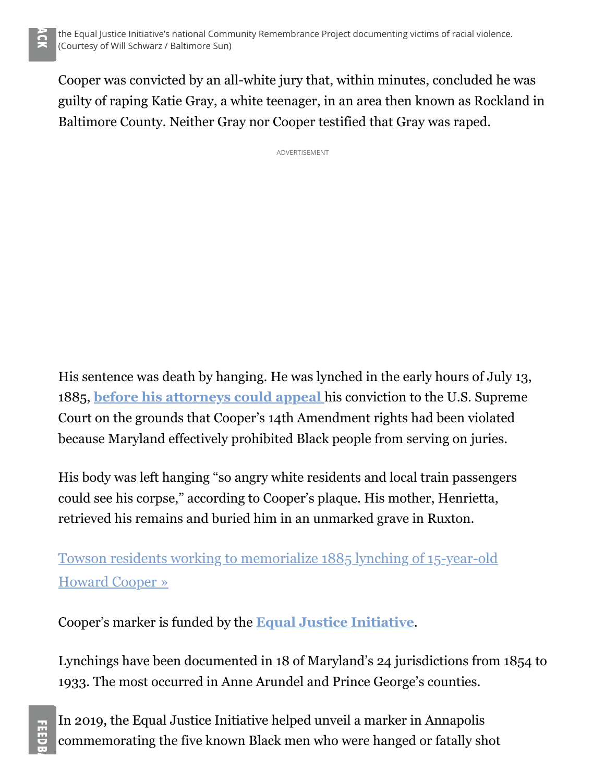Cooper was convicted by an all-white jury that, within minutes, concluded he was guilty of raping Katie Gray, a white teenager, in an area then known as Rockland in Baltimore County. Neither Gray nor Cooper testified that Gray was raped.

ADVERTISEMENT

His sentence was death by hanging. He was lynched in the early hours of July 13, 1885, **before his attorneys could appeal** his conviction to the U.S. Supreme Court on the grounds that Cooper's 14th Amendment rights had been violated because Maryland effectively prohibited Black people from serving on juries.

His body was left hanging "so angry white residents and local train passengers could see his corpse," according to Cooper's plaque. His mother, Henrietta, retrieved his remains and buried him in an unmarked grave in Ruxton.

Towson residents working to memorialize 1885 lynching of 15-year-old Howard Cooper »

Cooper's marker is funded by the **Equal Justice Initiative**.

Lynchings have been documented in 18 of Maryland's 24 jurisdictions from 1854 to 1933. The most occurred in Anne Arundel and Prince George's counties.

In 2019, the Equal Justice Initiative helped unveil a marker in Annapolis commemorating the five known Black men who were hanged or fatally shot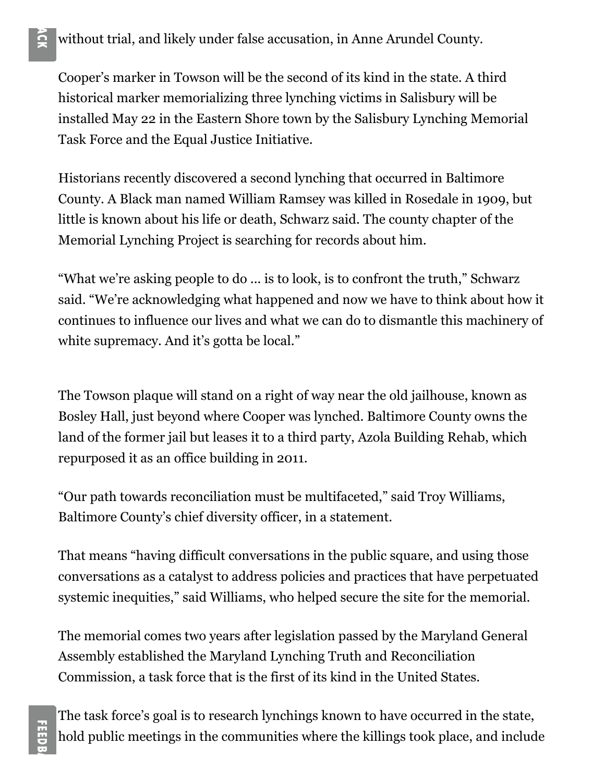## without trial, and likely under false accusation, in Anne Arundel County.

Cooper's marker in Towson will be the second of its kind in the state. A third historical marker memorializing three lynching victims in Salisbury will be installed May 22 in the Eastern Shore town by the Salisbury Lynching Memorial Task Force and the Equal Justice Initiative.

Historians recently discovered a second lynching that occurred in Baltimore County. A Black man named William Ramsey was killed in Rosedale in 1909, but little is known about his life or death, Schwarz said. The county chapter of the Memorial Lynching Project is searching for records about him.

"What we're asking people to do ... is to look, is to confront the truth," Schwarz said. "We're acknowledging what happened and now we have to think about how it continues to influence our lives and what we can do to dismantle this machinery of white supremacy. And it's gotta be local."

The Towson plaque will stand on a right of way near the old jailhouse, known as Bosley Hall, just beyond where Cooper was lynched. Baltimore County owns the land of the former jail but leases it to a third party, Azola Building Rehab, which repurposed it as an office building in 2011.

"Our path towards reconciliation must be multifaceted," said Troy Williams, Baltimore County's chief diversity officer, in a statement.

That means "having difficult conversations in the public square, and using those conversations as a catalyst to address policies and practices that have perpetuated systemic inequities," said Williams, who helped secure the site for the memorial.

The memorial comes two years after legislation passed by the Maryland General Assembly established the Maryland Lynching Truth and Reconciliation Commission, a task force that is the first of its kind in the United States.

The task force's goal is to research lynchings known to have occurred in the state, hold public meetings in the communities where the killings took place, and include